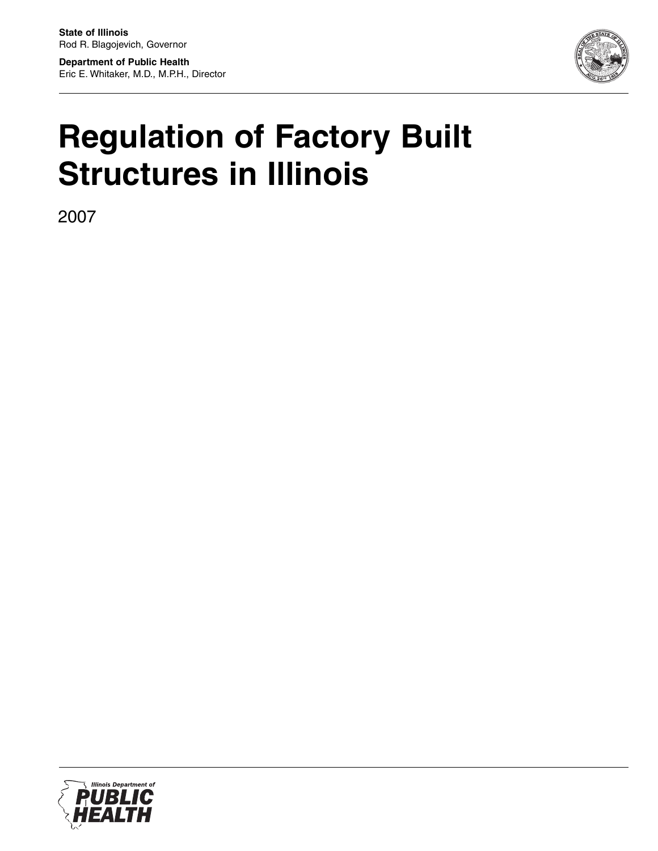**Department of Public Health** Eric E. Whitaker, M.D., M.P.H., Director



# **Regulation of Factory Built Structures in Illinois**

2007

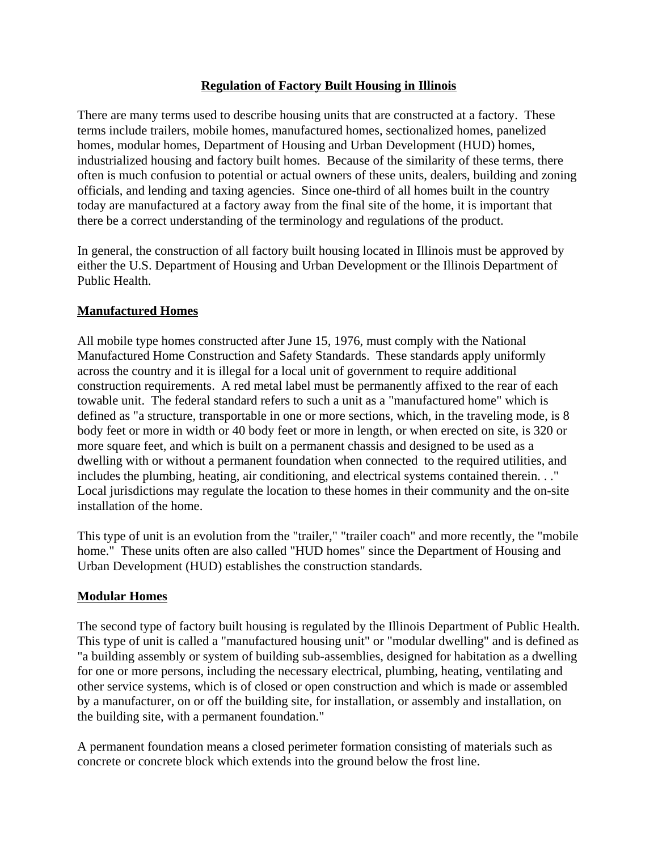### **Regulation of Factory Built Housing in Illinois**

There are many terms used to describe housing units that are constructed at a factory. These terms include trailers, mobile homes, manufactured homes, sectionalized homes, panelized homes, modular homes, Department of Housing and Urban Development (HUD) homes, industrialized housing and factory built homes. Because of the similarity of these terms, there often is much confusion to potential or actual owners of these units, dealers, building and zoning officials, and lending and taxing agencies. Since one-third of all homes built in the country today are manufactured at a factory away from the final site of the home, it is important that there be a correct understanding of the terminology and regulations of the product.

In general, the construction of all factory built housing located in Illinois must be approved by either the U.S. Department of Housing and Urban Development or the Illinois Department of Public Health.

#### **Manufactured Homes**

All mobile type homes constructed after June 15, 1976, must comply with the National Manufactured Home Construction and Safety Standards. These standards apply uniformly across the country and it is illegal for a local unit of government to require additional construction requirements. A red metal label must be permanently affixed to the rear of each towable unit. The federal standard refers to such a unit as a "manufactured home" which is defined as "a structure, transportable in one or more sections, which, in the traveling mode, is 8 body feet or more in width or 40 body feet or more in length, or when erected on site, is 320 or more square feet, and which is built on a permanent chassis and designed to be used as a dwelling with or without a permanent foundation when connected to the required utilities, and includes the plumbing, heating, air conditioning, and electrical systems contained therein. . ." Local jurisdictions may regulate the location to these homes in their community and the on-site installation of the home.

This type of unit is an evolution from the "trailer," "trailer coach" and more recently, the "mobile home." These units often are also called "HUD homes" since the Department of Housing and Urban Development (HUD) establishes the construction standards.

# **Modular Homes**

The second type of factory built housing is regulated by the Illinois Department of Public Health. This type of unit is called a "manufactured housing unit" or "modular dwelling" and is defined as "a building assembly or system of building sub-assemblies, designed for habitation as a dwelling for one or more persons, including the necessary electrical, plumbing, heating, ventilating and other service systems, which is of closed or open construction and which is made or assembled by a manufacturer, on or off the building site, for installation, or assembly and installation, on the building site, with a permanent foundation."

A permanent foundation means a closed perimeter formation consisting of materials such as concrete or concrete block which extends into the ground below the frost line.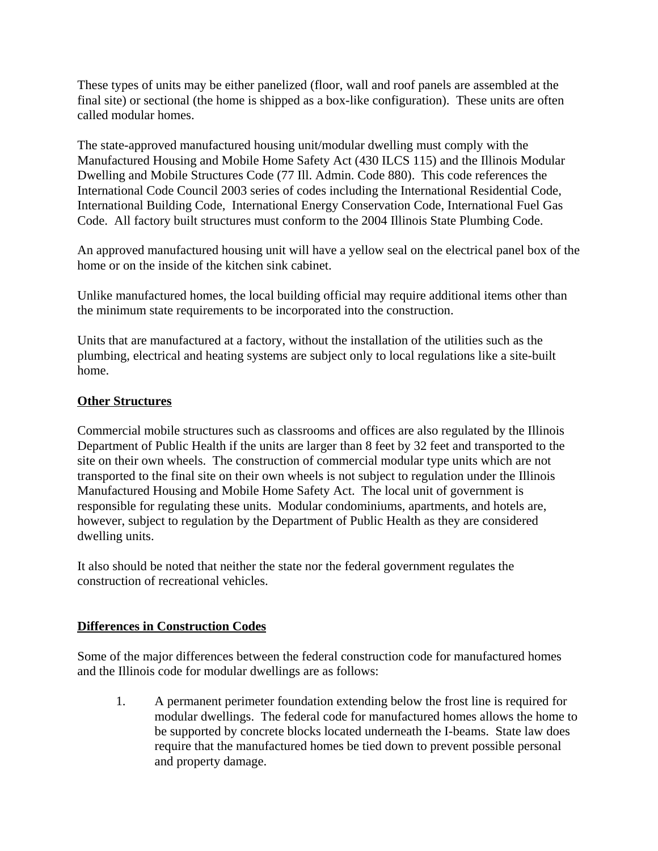These types of units may be either panelized (floor, wall and roof panels are assembled at the final site) or sectional (the home is shipped as a box-like configuration). These units are often called modular homes.

The state-approved manufactured housing unit/modular dwelling must comply with the Manufactured Housing and Mobile Home Safety Act (430 ILCS 115) and the Illinois Modular Dwelling and Mobile Structures Code (77 Ill. Admin. Code 880). This code references the International Code Council 2003 series of codes including the International Residential Code, International Building Code, International Energy Conservation Code, International Fuel Gas Code. All factory built structures must conform to the 2004 Illinois State Plumbing Code.

An approved manufactured housing unit will have a yellow seal on the electrical panel box of the home or on the inside of the kitchen sink cabinet.

Unlike manufactured homes, the local building official may require additional items other than the minimum state requirements to be incorporated into the construction.

Units that are manufactured at a factory, without the installation of the utilities such as the plumbing, electrical and heating systems are subject only to local regulations like a site-built home.

# **Other Structures**

Commercial mobile structures such as classrooms and offices are also regulated by the Illinois Department of Public Health if the units are larger than 8 feet by 32 feet and transported to the site on their own wheels. The construction of commercial modular type units which are not transported to the final site on their own wheels is not subject to regulation under the Illinois Manufactured Housing and Mobile Home Safety Act. The local unit of government is responsible for regulating these units. Modular condominiums, apartments, and hotels are, however, subject to regulation by the Department of Public Health as they are considered dwelling units.

It also should be noted that neither the state nor the federal government regulates the construction of recreational vehicles.

# **Differences in Construction Codes**

Some of the major differences between the federal construction code for manufactured homes and the Illinois code for modular dwellings are as follows:

1. A permanent perimeter foundation extending below the frost line is required for modular dwellings. The federal code for manufactured homes allows the home to be supported by concrete blocks located underneath the I-beams. State law does require that the manufactured homes be tied down to prevent possible personal and property damage.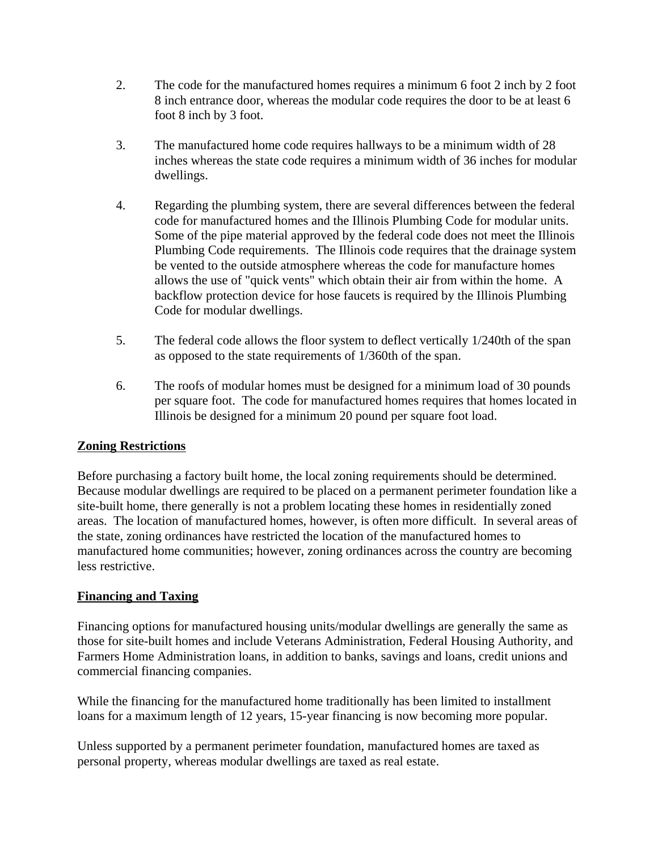- 2. The code for the manufactured homes requires a minimum 6 foot 2 inch by 2 foot 8 inch entrance door, whereas the modular code requires the door to be at least 6 foot 8 inch by 3 foot.
- 3. The manufactured home code requires hallways to be a minimum width of 28 inches whereas the state code requires a minimum width of 36 inches for modular dwellings.
- 4. Regarding the plumbing system, there are several differences between the federal code for manufactured homes and the Illinois Plumbing Code for modular units. Some of the pipe material approved by the federal code does not meet the Illinois Plumbing Code requirements. The Illinois code requires that the drainage system be vented to the outside atmosphere whereas the code for manufacture homes allows the use of "quick vents" which obtain their air from within the home. A backflow protection device for hose faucets is required by the Illinois Plumbing Code for modular dwellings.
- 5. The federal code allows the floor system to deflect vertically 1/240th of the span as opposed to the state requirements of 1/360th of the span.
- 6. The roofs of modular homes must be designed for a minimum load of 30 pounds per square foot. The code for manufactured homes requires that homes located in Illinois be designed for a minimum 20 pound per square foot load.

# **Zoning Restrictions**

Before purchasing a factory built home, the local zoning requirements should be determined. Because modular dwellings are required to be placed on a permanent perimeter foundation like a site-built home, there generally is not a problem locating these homes in residentially zoned areas. The location of manufactured homes, however, is often more difficult. In several areas of the state, zoning ordinances have restricted the location of the manufactured homes to manufactured home communities; however, zoning ordinances across the country are becoming less restrictive.

# **Financing and Taxing**

Financing options for manufactured housing units/modular dwellings are generally the same as those for site-built homes and include Veterans Administration, Federal Housing Authority, and Farmers Home Administration loans, in addition to banks, savings and loans, credit unions and commercial financing companies.

While the financing for the manufactured home traditionally has been limited to installment loans for a maximum length of 12 years, 15-year financing is now becoming more popular.

Unless supported by a permanent perimeter foundation, manufactured homes are taxed as personal property, whereas modular dwellings are taxed as real estate.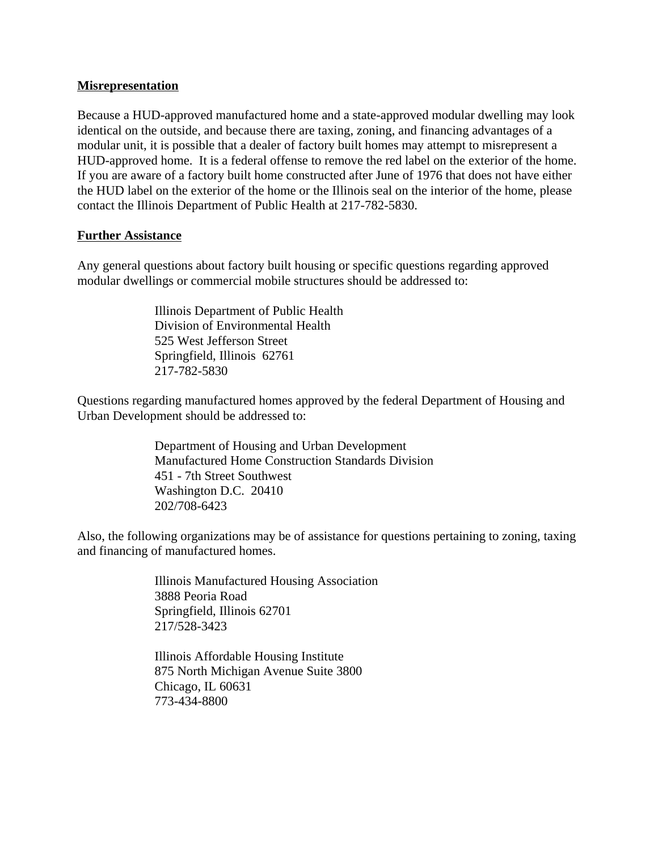#### **Misrepresentation**

Because a HUD-approved manufactured home and a state-approved modular dwelling may look identical on the outside, and because there are taxing, zoning, and financing advantages of a modular unit, it is possible that a dealer of factory built homes may attempt to misrepresent a HUD-approved home. It is a federal offense to remove the red label on the exterior of the home. If you are aware of a factory built home constructed after June of 1976 that does not have either the HUD label on the exterior of the home or the Illinois seal on the interior of the home, please contact the Illinois Department of Public Health at 217-782-5830.

#### **Further Assistance**

Any general questions about factory built housing or specific questions regarding approved modular dwellings or commercial mobile structures should be addressed to:

> Illinois Department of Public Health Division of Environmental Health 525 West Jefferson Street Springfield, Illinois 62761 217-782-5830

Questions regarding manufactured homes approved by the federal Department of Housing and Urban Development should be addressed to:

> Department of Housing and Urban Development Manufactured Home Construction Standards Division 451 - 7th Street Southwest Washington D.C. 20410 202/708-6423

Also, the following organizations may be of assistance for questions pertaining to zoning, taxing and financing of manufactured homes.

> Illinois Manufactured Housing Association 3888 Peoria Road Springfield, Illinois 62701 217/528-3423

Illinois Affordable Housing Institute 875 North Michigan Avenue Suite 3800 Chicago, IL 60631 773-434-8800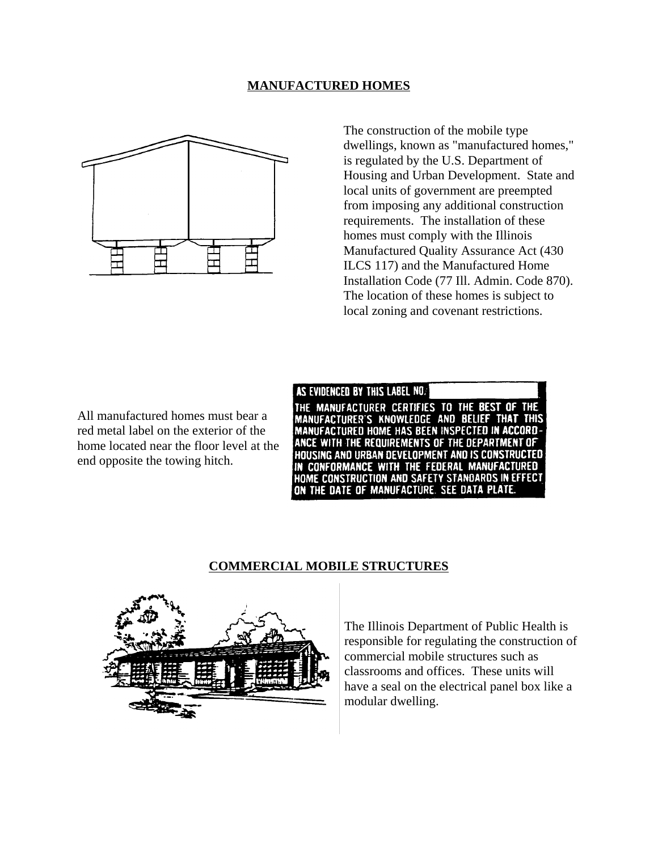#### **MANUFACTURED HOMES**



The construction of the mobile type dwellings, known as "manufactured homes," is regulated by the U.S. Department of Housing and Urban Development. State and local units of government are preempted from imposing any additional construction requirements. The installation of these homes must comply with the Illinois Manufactured Quality Assurance Act (430 ILCS 117) and the Manufactured Home Installation Code (77 Ill. Admin. Code 870). The location of these homes is subject to local zoning and covenant restrictions.

All manufactured homes must bear a red metal label on the exterior of the home located near the floor level at the end opposite the towing hitch.

AS EVIDENCED BY THIS LABEL NO. THE MANUFACTURER CERTIFIES TO THE BEST OF THE MANUFACTURER'S KNOWLEDGE AND BELIEF THAT **THIS** MANUFACTURED HOME HAS BEEN INSPECTED IN ACCORD-ANCE WITH THE REQUIREMENTS OF THE DEPARTMENT OF HOUSING AND URBAN DEVELOPMENT AND IS CONSTRUCTED IN CONFORMANCE WITH THE FEDERAL MANUFACTURED HOME CONSTRUCTION AND SAFETY STANDARDS IN EFFECT ON THE DATE OF MANUFACTURE. SEE DATA PLATE.

#### **COMMERCIAL MOBILE STRUCTURES**



The Illinois Department of Public Health is responsible for regulating the construction of commercial mobile structures such as classrooms and offices. These units will have a seal on the electrical panel box like a modular dwelling.